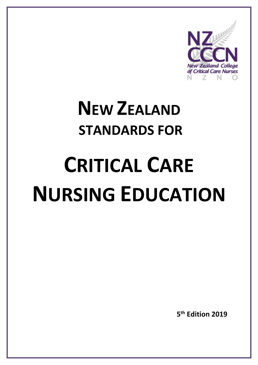

## **NEW ZEALAND STANDARDS FOR**

# **CRITICAL CARE NURSING EDUCATION**

**5 th Edition 2019**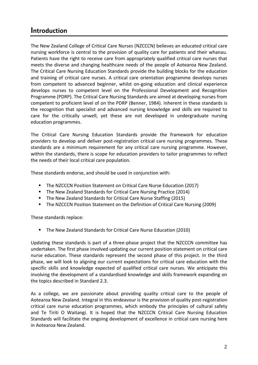#### **Introduction**

The New Zealand College of Critical Care Nurses (NZCCCN) believes an educated critical care nursing workforce is central to the provision of quality care for patients and their whanau. Patients have the right to receive care from appropriately qualified critical care nurses that meets the diverse and changing healthcare needs of the people of Aotearoa New Zealand. The Critical Care Nursing Education Standards provide the building blocks for the education and training of critical care nurses. A critical care orientation programme develops nurses from competent to advanced beginner, whilst on-going education and clinical experience develops nurses to competent level on the Professional Development and Recognition Programme (PDRP). The Critical Care Nursing Standards are aimed at developing nurses from competent to proficient level of on the PDRP (Benner, 1984). Inherent in these standards is the recognition that specialist and advanced nursing knowledge and skills are required to care for the critically unwell, yet these are not developed in undergraduate nursing education programmes.

The Critical Care Nursing Education Standards provide the framework for education providers to develop and deliver post-registration critical care nursing programmes. These standards are a minimum requirement for any critical care nursing programme. However, within the standards, there is scope for education providers to tailor programmes to reflect the needs of their local critical care population.

These standards endorse, and should be used in conjunction with:

- **The NZCCCN Position Statement on Critical Care Nurse Education (2017)**
- The New Zealand Standards for Critical Care Nursing Practice (2014)
- The New Zealand Standards for Critical Care Nurse Staffing (2015)
- **The NZCCCN Position Statement on the Definition of Critical Care Nursing (2009)**

These standards replace:

**The New Zealand Standards for Critical Care Nurse Education (2010)** 

Updating these standards is part of a three-phase project that the NZCCCN committee has undertaken. The first phase involved updating our current position statement on critical care nurse education. These standards represent the second phase of this project. In the third phase, we will look to aligning our current expectations for critical care education with the specific skills and knowledge expected of qualified critical care nurses. We anticipate this involving the development of a standardised knowledge and skills framework expanding on the topics described in Standard 2.3.

As a college, we are passionate about providing quality critical care to the people of Aotearoa New Zealand. Integral in this endeavour is the provision of quality post-registration critical care nurse education programmes, which embody the principles of cultural safety and Te Tiriti O Waitangi. It is hoped that the NZCCCN Critical Care Nursing Education Standards will facilitate the ongoing development of excellence in critical care nursing here in Aotearoa New Zealand.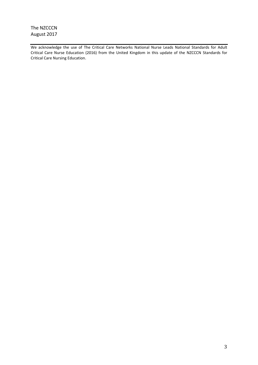The NZCCCN August 2017

We acknowledge the use of The Critical Care Networks National Nurse Leads National Standards for Adult Critical Care Nurse Education (2016) from the United Kingdom in this update of the NZCCCN Standards for Critical Care Nursing Education.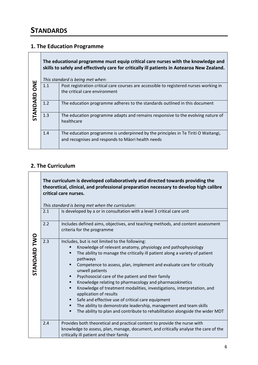#### **1. The Education Programme**

| ш<br>$\overline{5}$<br>STANDARD | The educational programme must equip critical care nurses with the knowledge and<br>skills to safely and effectively care for critically ill patients in Aotearoa New Zealand.<br>This standard is being met when: |                                                                                                                                        |  |
|---------------------------------|--------------------------------------------------------------------------------------------------------------------------------------------------------------------------------------------------------------------|----------------------------------------------------------------------------------------------------------------------------------------|--|
|                                 | 1.1                                                                                                                                                                                                                | Post registration critical care courses are accessible to registered nurses working in<br>the critical care environment                |  |
|                                 | 1.2                                                                                                                                                                                                                | The education programme adheres to the standards outlined in this document                                                             |  |
|                                 | 1.3                                                                                                                                                                                                                | The education programme adapts and remains responsive to the evolving nature of<br>healthcare                                          |  |
|                                 | 1.4                                                                                                                                                                                                                | The education programme is underpinned by the principles in Te Tiriti O Waitangi,<br>and recognises and responds to Māori health needs |  |

#### **2. The Curriculum**

**The curriculum is developed collaboratively and directed towards providing the theoretical, clinical, and professional preparation necessary to develop high calibre critical care nurses.**

*This standard is being met when the curriculum:*

|                 | ring standard is being met wilen the carnealam. |                                                                                                                                                                                                                                                                                                                                                                                                                                                                                                                                                                                                                                                                                                                                                                     |  |
|-----------------|-------------------------------------------------|---------------------------------------------------------------------------------------------------------------------------------------------------------------------------------------------------------------------------------------------------------------------------------------------------------------------------------------------------------------------------------------------------------------------------------------------------------------------------------------------------------------------------------------------------------------------------------------------------------------------------------------------------------------------------------------------------------------------------------------------------------------------|--|
| TWO<br>STANDARD | 2.1                                             | Is developed by a or in consultation with a level 3 critical care unit                                                                                                                                                                                                                                                                                                                                                                                                                                                                                                                                                                                                                                                                                              |  |
|                 | 2.2                                             | Includes defined aims, objectives, and teaching methods, and content assessment<br>criteria for the programme                                                                                                                                                                                                                                                                                                                                                                                                                                                                                                                                                                                                                                                       |  |
|                 | 2.3                                             | Includes, but is not limited to the following:<br>Knowledge of relevant anatomy, physiology and pathophysiology<br>The ability to manage the critically ill patient along a variety of patient<br>٠<br>pathways<br>Competence to assess, plan, implement and evaluate care for critically<br>unwell patients<br>Psychosocial care of the patient and their family<br>Knowledge relating to pharmacology and pharmacokinetics<br>п<br>Knowledge of treatment modalities, investigations, interpretation, and<br>٠<br>application of results<br>Safe and effective use of critical care equipment<br>٠<br>The ability to demonstrate leadership, management and team skills<br>п<br>The ability to plan and contribute to rehabilitation alongside the wider MDT<br>п |  |
|                 | 2.4                                             | Provides both theoretical and practical content to provide the nurse with<br>knowledge to assess, plan, manage, document, and critically analyse the care of the<br>critically ill patient and their family                                                                                                                                                                                                                                                                                                                                                                                                                                                                                                                                                         |  |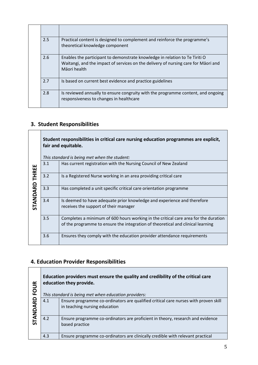| 2.5 | Practical content is designed to complement and reinforce the programme's<br>theoretical knowledge component                                                                      |
|-----|-----------------------------------------------------------------------------------------------------------------------------------------------------------------------------------|
| 2.6 | Enables the participant to demonstrate knowledge in relation to Te Tiriti O<br>Waitangi, and the impact of services on the delivery of nursing care for Māori and<br>Māori health |
| 2.7 | Is based on current best evidence and practice guidelines                                                                                                                         |
| 2.8 | Is reviewed annually to ensure congruity with the programme content, and ongoing<br>responsiveness to changes in healthcare                                                       |

### **3. Student Responsibilities**

|                          | Student responsibilities in critical care nursing education programmes are explicit,<br>fair and equitable. |                                                                                                                                                                        |
|--------------------------|-------------------------------------------------------------------------------------------------------------|------------------------------------------------------------------------------------------------------------------------------------------------------------------------|
|                          |                                                                                                             | This standard is being met when the student:                                                                                                                           |
| <b>THREE</b><br>STANDARD | 3.1                                                                                                         | Has current registration with the Nursing Council of New Zealand                                                                                                       |
|                          | 3.2                                                                                                         | Is a Registered Nurse working in an area providing critical care                                                                                                       |
|                          | 3.3                                                                                                         | Has completed a unit specific critical care orientation programme                                                                                                      |
|                          | 3.4                                                                                                         | Is deemed to have adequate prior knowledge and experience and therefore<br>receives the support of their manager                                                       |
|                          | 3.5                                                                                                         | Completes a minimum of 600 hours working in the critical care area for the duration<br>of the programme to ensure the integration of theoretical and clinical learning |
|                          | 3.6                                                                                                         | Ensures they comply with the education provider attendance requirements                                                                                                |

#### **4. Education Provider Responsibilities**

T

| $\leq$<br>DO<br>ဥ<br><b>NONA</b> | Education providers must ensure the quality and credibility of the critical care<br>education they provide.<br>This standard is being met when education providers: |                                                                                                                      |
|----------------------------------|---------------------------------------------------------------------------------------------------------------------------------------------------------------------|----------------------------------------------------------------------------------------------------------------------|
|                                  | 4.1                                                                                                                                                                 | Ensure programme co-ordinators are qualified critical care nurses with proven skill<br>in teaching nursing education |
|                                  | 4.2                                                                                                                                                                 | Ensure programme co-ordinators are proficient in theory, research and evidence<br>based practice                     |
|                                  | 4.3                                                                                                                                                                 | Ensure programme co-ordinators are clinically credible with relevant practical                                       |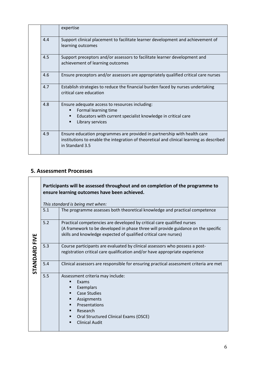|  |     | expertise                                                                                                                                                                               |
|--|-----|-----------------------------------------------------------------------------------------------------------------------------------------------------------------------------------------|
|  | 4.4 | Support clinical placement to facilitate learner development and achievement of<br>learning outcomes                                                                                    |
|  | 4.5 | Support preceptors and/or assessors to facilitate learner development and<br>achievement of learning outcomes                                                                           |
|  | 4.6 | Ensure preceptors and/or assessors are appropriately qualified critical care nurses                                                                                                     |
|  | 4.7 | Establish strategies to reduce the financial burden faced by nurses undertaking<br>critical care education                                                                              |
|  | 4.8 | Ensure adequate access to resources including:<br>Formal learning time<br>Educators with current specialist knowledge in critical care<br>٠<br>Library services<br>٠                    |
|  | 4.9 | Ensure education programmes are provided in partnership with health care<br>institutions to enable the integration of theoretical and clinical learning as described<br>in Standard 3.5 |

#### **5. Assessment Processes**

|                      | Participants will be assessed throughout and on completion of the programme to<br>ensure learning outcomes have been achieved. |                                                                                                                                                                                                                                 |  |
|----------------------|--------------------------------------------------------------------------------------------------------------------------------|---------------------------------------------------------------------------------------------------------------------------------------------------------------------------------------------------------------------------------|--|
| <b>STANDARD FIVE</b> | This standard is being met when:                                                                                               |                                                                                                                                                                                                                                 |  |
|                      | 5.1                                                                                                                            | The programme assesses both theoretical knowledge and practical competence                                                                                                                                                      |  |
|                      | 5.2                                                                                                                            | Practical competencies are developed by critical care qualified nurses<br>(A framework to be developed in phase three will provide guidance on the specific<br>skills and knowledge expected of qualified critical care nurses) |  |
|                      | 5.3                                                                                                                            | Course participants are evaluated by clinical assessors who possess a post-<br>registration critical care qualification and/or have appropriate experience                                                                      |  |
|                      | 5.4                                                                                                                            | Clinical assessors are responsible for ensuring practical assessment criteria are met                                                                                                                                           |  |
|                      | 5.5                                                                                                                            | Assessment criteria may include:<br>Exams<br>Exemplars<br>п<br><b>Case Studies</b><br>Assignments<br>п<br>Presentations<br>٠<br>Research<br>■<br>Oral Structured Clinical Exams (OSCE)<br>٠<br><b>Clinical Audit</b>            |  |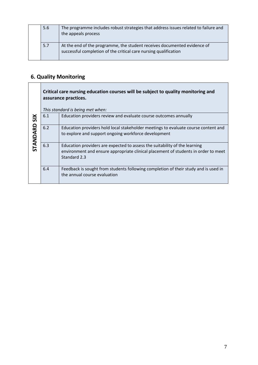|  | 5.6 | The programme includes robust strategies that address issues related to failure and<br>the appeals process                                   |
|--|-----|----------------------------------------------------------------------------------------------------------------------------------------------|
|  | 5.7 | At the end of the programme, the student receives documented evidence of<br>successful completion of the critical care nursing qualification |

#### **6. Quality Monitoring**

|                        | Critical care nursing education courses will be subject to quality monitoring and<br>assurance practices.<br>This standard is being met when: |                                                                                                                                                                                  |
|------------------------|-----------------------------------------------------------------------------------------------------------------------------------------------|----------------------------------------------------------------------------------------------------------------------------------------------------------------------------------|
| SIX<br><b>STANDARD</b> | 6.1                                                                                                                                           | Education providers review and evaluate course outcomes annually                                                                                                                 |
|                        | 6.2                                                                                                                                           | Education providers hold local stakeholder meetings to evaluate course content and<br>to explore and support ongoing workforce development                                       |
|                        | 6.3                                                                                                                                           | Education providers are expected to assess the suitability of the learning<br>environment and ensure appropriate clinical placement of students in order to meet<br>Standard 2.3 |
|                        | 6.4                                                                                                                                           | Feedback is sought from students following completion of their study and is used in<br>the annual course evaluation                                                              |

 $\overline{\phantom{a}}$